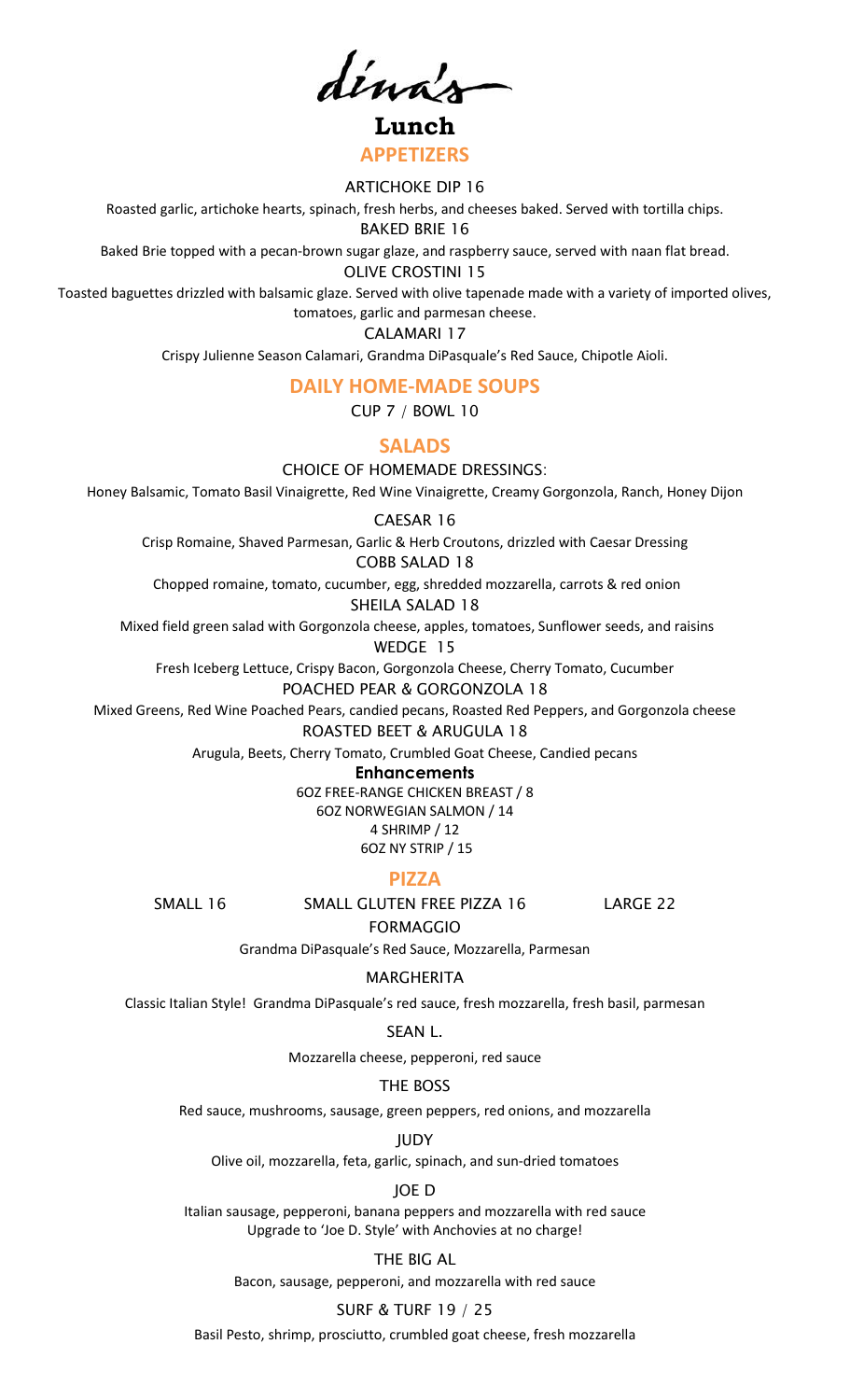dína's

**Lunch APPETIZERS**

#### ARTICHOKE DIP 16

Roasted garlic, artichoke hearts, spinach, fresh herbs, and cheeses baked. Served with tortilla chips.

BAKED BRIE 16

Baked Brie topped with a pecan-brown sugar glaze, and raspberry sauce, served with naan flat bread.

OLIVE CROSTINI 15

Toasted baguettes drizzled with balsamic glaze. Served with olive tapenade made with a variety of imported olives, tomatoes, garlic and parmesan cheese.

CALAMARI 17

Crispy Julienne Season Calamari, Grandma DiPasquale's Red Sauce, Chipotle Aioli.

#### **DAILY HOME-MADE SOUPS**

CUP 7 / BOWL 10

## **SALADS**

CHOICE OF HOMEMADE DRESSINGS:

Honey Balsamic, Tomato Basil Vinaigrette, Red Wine Vinaigrette, Creamy Gorgonzola, Ranch, Honey Dijon

#### CAESAR 16

Crisp Romaine, Shaved Parmesan, Garlic & Herb Croutons, drizzled with Caesar Dressing

## COBB SALAD 18

Chopped romaine, tomato, cucumber, egg, shredded mozzarella, carrots & red onion

SHEILA SALAD 18

Mixed field green salad with Gorgonzola cheese, apples, tomatoes, Sunflower seeds, and raisins WEDGE 15

Fresh Iceberg Lettuce, Crispy Bacon, Gorgonzola Cheese, Cherry Tomato, Cucumber

POACHED PEAR & GORGONZOLA 18

Mixed Greens, Red Wine Poached Pears, candied pecans, Roasted Red Peppers, and Gorgonzola cheese ROASTED BEET & ARUGULA 18

Arugula, Beets, Cherry Tomato, Crumbled Goat Cheese, Candied pecans

**Enhancements**

6OZ FREE-RANGE CHICKEN BREAST / 8

6OZ NORWEGIAN SALMON / 14 4 SHRIMP / 12

6OZ NY STRIP / 15

## **PIZZA**

SMALL 16 SMALL GLUTEN FREE PIZZA 16 LARGE 22

FORMAGGIO Grandma DiPasquale's Red Sauce, Mozzarella, Parmesan

## MARGHERITA

Classic Italian Style! Grandma DiPasquale's red sauce, fresh mozzarella, fresh basil, parmesan

## SEAN L.

Mozzarella cheese, pepperoni, red sauce

## THE BOSS

Red sauce, mushrooms, sausage, green peppers, red onions, and mozzarella

**IUDY** 

Olive oil, mozzarella, feta, garlic, spinach, and sun-dried tomatoes

JOE D

Italian sausage, pepperoni, banana peppers and mozzarella with red sauce Upgrade to 'Joe D. Style' with Anchovies at no charge!

# THE BIG AL

Bacon, sausage, pepperoni, and mozzarella with red sauce

# SURF & TURF 19 / 25

Basil Pesto, shrimp, prosciutto, crumbled goat cheese, fresh mozzarella